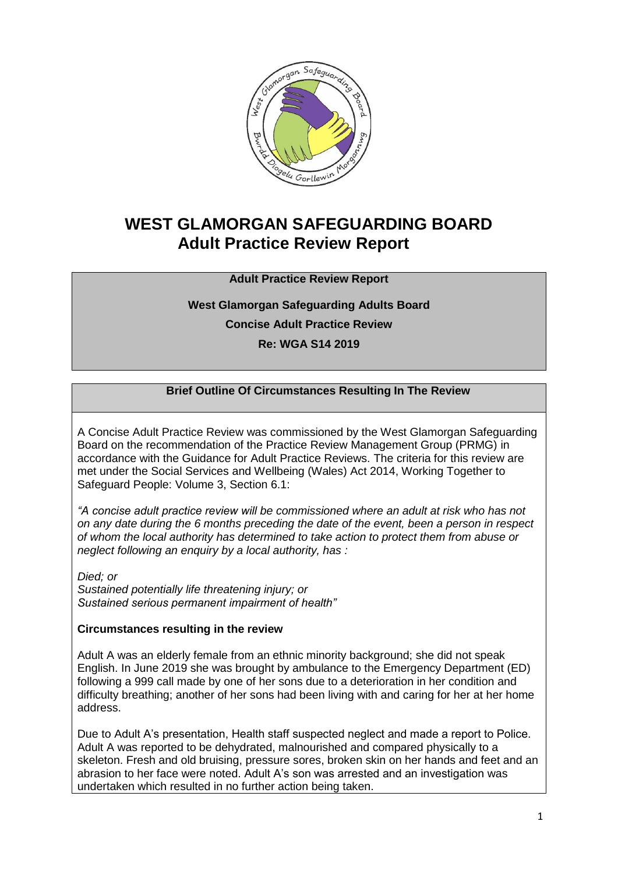

# **WEST GLAMORGAN SAFEGUARDING BOARD Adult Practice Review Report**

# **Adult Practice Review Report**

# **West Glamorgan Safeguarding Adults Board Concise Adult Practice Review Re: WGA S14 2019**

# **Brief Outline Of Circumstances Resulting In The Review**

A Concise Adult Practice Review was commissioned by the West Glamorgan Safeguarding Board on the recommendation of the Practice Review Management Group (PRMG) in accordance with the Guidance for Adult Practice Reviews. The criteria for this review are met under the Social Services and Wellbeing (Wales) Act 2014, Working Together to Safeguard People: Volume 3, Section 6.1:

*"A concise adult practice review will be commissioned where an adult at risk who has not on any date during the 6 months preceding the date of the event, been a person in respect of whom the local authority has determined to take action to protect them from abuse or neglect following an enquiry by a local authority, has :*

*Died; or Sustained potentially life threatening injury; or Sustained serious permanent impairment of health"*

#### **Circumstances resulting in the review**

Adult A was an elderly female from an ethnic minority background; she did not speak English. In June 2019 she was brought by ambulance to the Emergency Department (ED) following a 999 call made by one of her sons due to a deterioration in her condition and difficulty breathing; another of her sons had been living with and caring for her at her home address.

Due to Adult A's presentation, Health staff suspected neglect and made a report to Police. Adult A was reported to be dehydrated, malnourished and compared physically to a skeleton. Fresh and old bruising, pressure sores, broken skin on her hands and feet and an abrasion to her face were noted. Adult A's son was arrested and an investigation was undertaken which resulted in no further action being taken.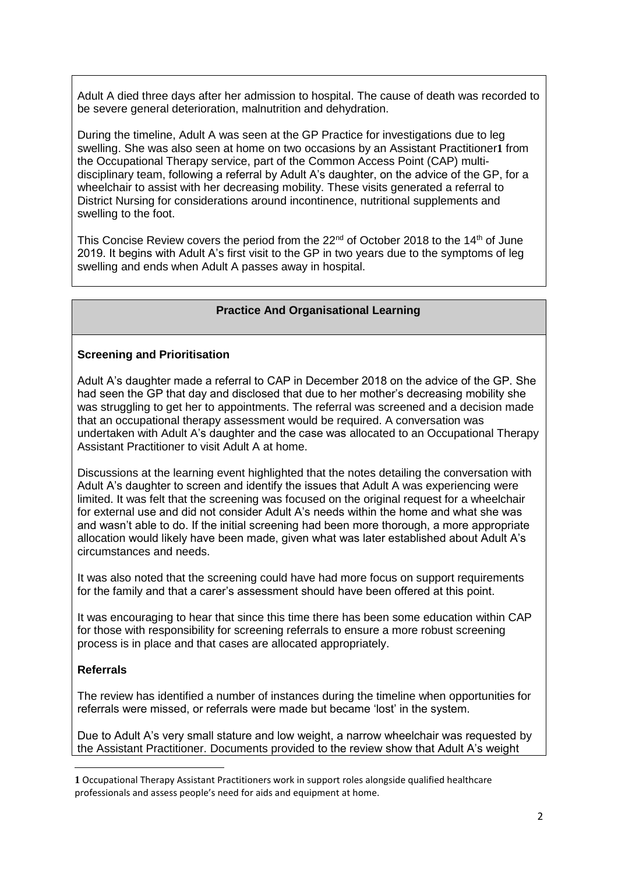Adult A died three days after her admission to hospital. The cause of death was recorded to be severe general deterioration, malnutrition and dehydration.

During the timeline, Adult A was seen at the GP Practice for investigations due to leg swelling. She was also seen at home on two occasions by an Assistant Practitioner**1** from the Occupational Therapy service, part of the Common Access Point (CAP) multidisciplinary team, following a referral by Adult A's daughter, on the advice of the GP, for a wheelchair to assist with her decreasing mobility. These visits generated a referral to District Nursing for considerations around incontinence, nutritional supplements and swelling to the foot.

This Concise Review covers the period from the 22<sup>nd</sup> of October 2018 to the 14<sup>th</sup> of June 2019. It begins with Adult A's first visit to the GP in two years due to the symptoms of leg swelling and ends when Adult A passes away in hospital.

#### **Practice And Organisational Learning**

#### **Screening and Prioritisation**

Adult A's daughter made a referral to CAP in December 2018 on the advice of the GP. She had seen the GP that day and disclosed that due to her mother's decreasing mobility she was struggling to get her to appointments. The referral was screened and a decision made that an occupational therapy assessment would be required. A conversation was undertaken with Adult A's daughter and the case was allocated to an Occupational Therapy Assistant Practitioner to visit Adult A at home.

Discussions at the learning event highlighted that the notes detailing the conversation with Adult A's daughter to screen and identify the issues that Adult A was experiencing were limited. It was felt that the screening was focused on the original request for a wheelchair for external use and did not consider Adult A's needs within the home and what she was and wasn't able to do. If the initial screening had been more thorough, a more appropriate allocation would likely have been made, given what was later established about Adult A's circumstances and needs.

It was also noted that the screening could have had more focus on support requirements for the family and that a carer's assessment should have been offered at this point.

It was encouraging to hear that since this time there has been some education within CAP for those with responsibility for screening referrals to ensure a more robust screening process is in place and that cases are allocated appropriately.

#### **Referrals**

**.** 

The review has identified a number of instances during the timeline when opportunities for referrals were missed, or referrals were made but became 'lost' in the system.

Due to Adult A's very small stature and low weight, a narrow wheelchair was requested by the Assistant Practitioner. Documents provided to the review show that Adult A's weight

**<sup>1</sup>** Occupational Therapy Assistant Practitioners work in support roles alongside qualified healthcare professionals and assess people's need for aids and equipment at home.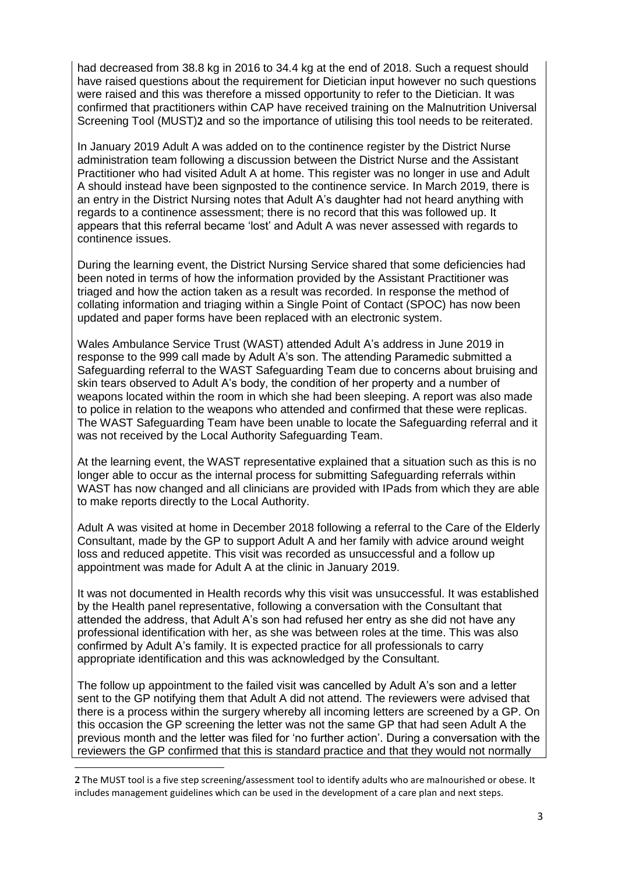had decreased from 38.8 kg in 2016 to 34.4 kg at the end of 2018. Such a request should have raised questions about the requirement for Dietician input however no such questions were raised and this was therefore a missed opportunity to refer to the Dietician. It was confirmed that practitioners within CAP have received training on the Malnutrition Universal Screening Tool (MUST)**2** and so the importance of utilising this tool needs to be reiterated.

In January 2019 Adult A was added on to the continence register by the District Nurse administration team following a discussion between the District Nurse and the Assistant Practitioner who had visited Adult A at home. This register was no longer in use and Adult A should instead have been signposted to the continence service. In March 2019, there is an entry in the District Nursing notes that Adult A's daughter had not heard anything with regards to a continence assessment; there is no record that this was followed up. It appears that this referral became 'lost' and Adult A was never assessed with regards to continence issues.

During the learning event, the District Nursing Service shared that some deficiencies had been noted in terms of how the information provided by the Assistant Practitioner was triaged and how the action taken as a result was recorded. In response the method of collating information and triaging within a Single Point of Contact (SPOC) has now been updated and paper forms have been replaced with an electronic system.

Wales Ambulance Service Trust (WAST) attended Adult A's address in June 2019 in response to the 999 call made by Adult A's son. The attending Paramedic submitted a Safeguarding referral to the WAST Safeguarding Team due to concerns about bruising and skin tears observed to Adult A's body, the condition of her property and a number of weapons located within the room in which she had been sleeping. A report was also made to police in relation to the weapons who attended and confirmed that these were replicas. The WAST Safeguarding Team have been unable to locate the Safeguarding referral and it was not received by the Local Authority Safeguarding Team.

At the learning event, the WAST representative explained that a situation such as this is no longer able to occur as the internal process for submitting Safeguarding referrals within WAST has now changed and all clinicians are provided with IPads from which they are able to make reports directly to the Local Authority.

Adult A was visited at home in December 2018 following a referral to the Care of the Elderly Consultant, made by the GP to support Adult A and her family with advice around weight loss and reduced appetite. This visit was recorded as unsuccessful and a follow up appointment was made for Adult A at the clinic in January 2019.

It was not documented in Health records why this visit was unsuccessful. It was established by the Health panel representative, following a conversation with the Consultant that attended the address, that Adult A's son had refused her entry as she did not have any professional identification with her, as she was between roles at the time. This was also confirmed by Adult A's family. It is expected practice for all professionals to carry appropriate identification and this was acknowledged by the Consultant.

The follow up appointment to the failed visit was cancelled by Adult A's son and a letter sent to the GP notifying them that Adult A did not attend. The reviewers were advised that there is a process within the surgery whereby all incoming letters are screened by a GP. On this occasion the GP screening the letter was not the same GP that had seen Adult A the previous month and the letter was filed for 'no further action'. During a conversation with the reviewers the GP confirmed that this is standard practice and that they would not normally

**.** 

**<sup>2</sup>** The MUST tool is a five step screening/assessment tool to identify adults who are malnourished or obese. It includes management guidelines which can be used in the development of a care plan and next steps.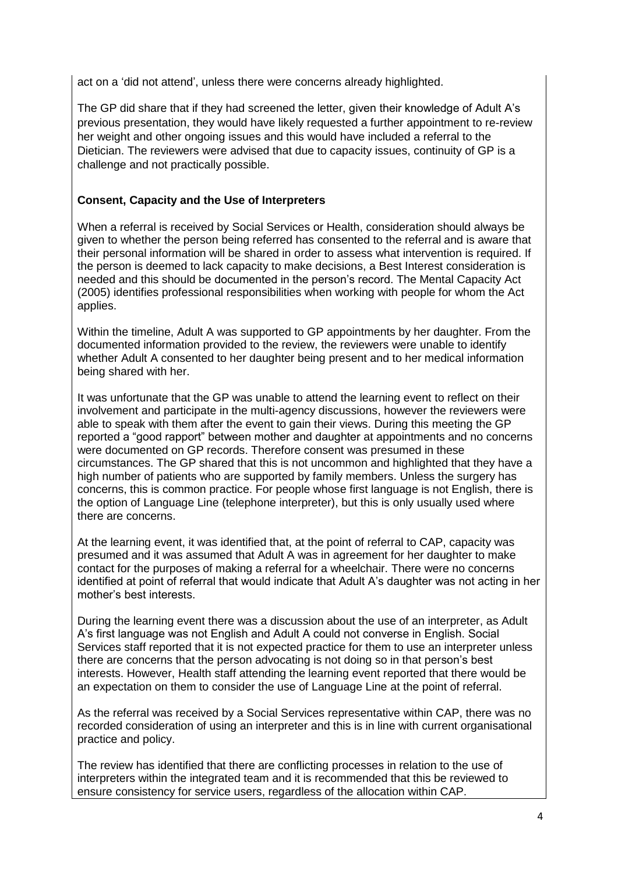act on a 'did not attend', unless there were concerns already highlighted.

The GP did share that if they had screened the letter, given their knowledge of Adult A's previous presentation, they would have likely requested a further appointment to re-review her weight and other ongoing issues and this would have included a referral to the Dietician. The reviewers were advised that due to capacity issues, continuity of GP is a challenge and not practically possible.

# **Consent, Capacity and the Use of Interpreters**

When a referral is received by Social Services or Health, consideration should always be given to whether the person being referred has consented to the referral and is aware that their personal information will be shared in order to assess what intervention is required. If the person is deemed to lack capacity to make decisions, a Best Interest consideration is needed and this should be documented in the person's record. The Mental Capacity Act (2005) identifies professional responsibilities when working with people for whom the Act applies.

Within the timeline, Adult A was supported to GP appointments by her daughter. From the documented information provided to the review, the reviewers were unable to identify whether Adult A consented to her daughter being present and to her medical information being shared with her.

It was unfortunate that the GP was unable to attend the learning event to reflect on their involvement and participate in the multi-agency discussions, however the reviewers were able to speak with them after the event to gain their views. During this meeting the GP reported a "good rapport" between mother and daughter at appointments and no concerns were documented on GP records. Therefore consent was presumed in these circumstances. The GP shared that this is not uncommon and highlighted that they have a high number of patients who are supported by family members. Unless the surgery has concerns, this is common practice. For people whose first language is not English, there is the option of Language Line (telephone interpreter), but this is only usually used where there are concerns.

At the learning event, it was identified that, at the point of referral to CAP, capacity was presumed and it was assumed that Adult A was in agreement for her daughter to make contact for the purposes of making a referral for a wheelchair. There were no concerns identified at point of referral that would indicate that Adult A's daughter was not acting in her mother's best interests.

During the learning event there was a discussion about the use of an interpreter, as Adult A's first language was not English and Adult A could not converse in English. Social Services staff reported that it is not expected practice for them to use an interpreter unless there are concerns that the person advocating is not doing so in that person's best interests. However, Health staff attending the learning event reported that there would be an expectation on them to consider the use of Language Line at the point of referral.

As the referral was received by a Social Services representative within CAP, there was no recorded consideration of using an interpreter and this is in line with current organisational practice and policy.

The review has identified that there are conflicting processes in relation to the use of interpreters within the integrated team and it is recommended that this be reviewed to ensure consistency for service users, regardless of the allocation within CAP.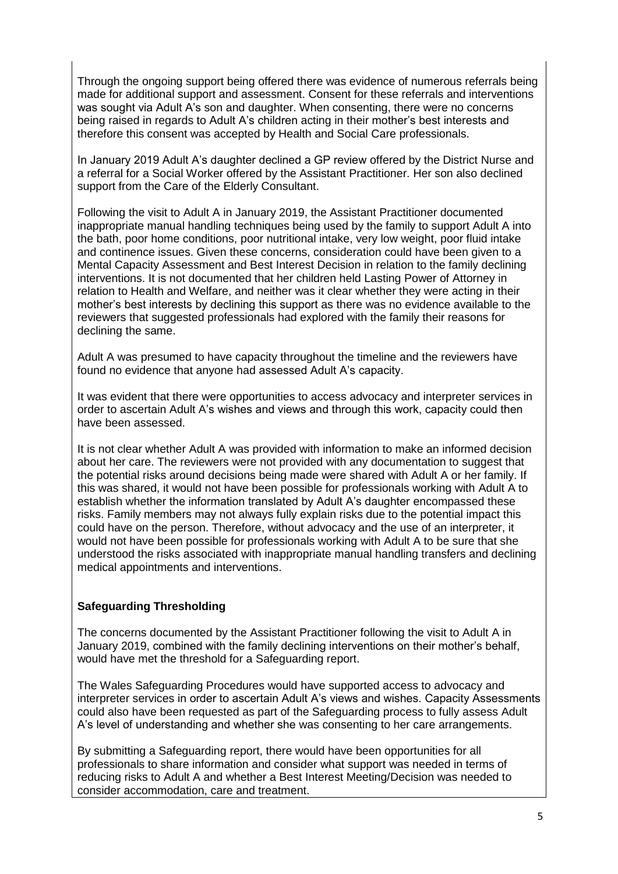Through the ongoing support being offered there was evidence of numerous referrals being made for additional support and assessment. Consent for these referrals and interventions was sought via Adult A's son and daughter. When consenting, there were no concerns being raised in regards to Adult A's children acting in their mother's best interests and therefore this consent was accepted by Health and Social Care professionals.

In January 2019 Adult A's daughter declined a GP review offered by the District Nurse and a referral for a Social Worker offered by the Assistant Practitioner. Her son also declined support from the Care of the Elderly Consultant.

Following the visit to Adult A in January 2019, the Assistant Practitioner documented inappropriate manual handling techniques being used by the family to support Adult A into the bath, poor home conditions, poor nutritional intake, very low weight, poor fluid intake and continence issues. Given these concerns, consideration could have been given to a Mental Capacity Assessment and Best Interest Decision in relation to the family declining interventions. It is not documented that her children held Lasting Power of Attorney in relation to Health and Welfare, and neither was it clear whether they were acting in their mother's best interests by declining this support as there was no evidence available to the reviewers that suggested professionals had explored with the family their reasons for declining the same.

Adult A was presumed to have capacity throughout the timeline and the reviewers have found no evidence that anyone had assessed Adult A's capacity.

It was evident that there were opportunities to access advocacy and interpreter services in order to ascertain Adult A's wishes and views and through this work, capacity could then have been assessed.

It is not clear whether Adult A was provided with information to make an informed decision about her care. The reviewers were not provided with any documentation to suggest that the potential risks around decisions being made were shared with Adult A or her family. If this was shared, it would not have been possible for professionals working with Adult A to establish whether the information translated by Adult A's daughter encompassed these risks. Family members may not always fully explain risks due to the potential impact this could have on the person. Therefore, without advocacy and the use of an interpreter, it would not have been possible for professionals working with Adult A to be sure that she understood the risks associated with inappropriate manual handling transfers and declining medical appointments and interventions.

# **Safeguarding Thresholding**

The concerns documented by the Assistant Practitioner following the visit to Adult A in January 2019, combined with the family declining interventions on their mother's behalf, would have met the threshold for a Safeguarding report.

The Wales Safeguarding Procedures would have supported access to advocacy and interpreter services in order to ascertain Adult A's views and wishes. Capacity Assessments could also have been requested as part of the Safeguarding process to fully assess Adult A's level of understanding and whether she was consenting to her care arrangements.

By submitting a Safeguarding report, there would have been opportunities for all professionals to share information and consider what support was needed in terms of reducing risks to Adult A and whether a Best Interest Meeting/Decision was needed to consider accommodation, care and treatment.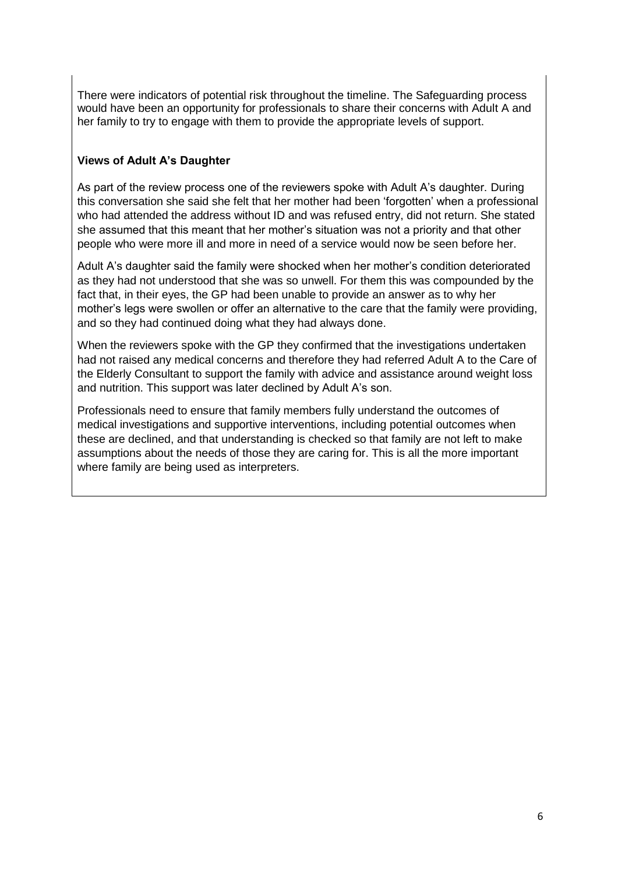There were indicators of potential risk throughout the timeline. The Safeguarding process would have been an opportunity for professionals to share their concerns with Adult A and her family to try to engage with them to provide the appropriate levels of support.

# **Views of Adult A's Daughter**

As part of the review process one of the reviewers spoke with Adult A's daughter. During this conversation she said she felt that her mother had been 'forgotten' when a professional who had attended the address without ID and was refused entry, did not return. She stated she assumed that this meant that her mother's situation was not a priority and that other people who were more ill and more in need of a service would now be seen before her.

Adult A's daughter said the family were shocked when her mother's condition deteriorated as they had not understood that she was so unwell. For them this was compounded by the fact that, in their eyes, the GP had been unable to provide an answer as to why her mother's legs were swollen or offer an alternative to the care that the family were providing, and so they had continued doing what they had always done.

When the reviewers spoke with the GP they confirmed that the investigations undertaken had not raised any medical concerns and therefore they had referred Adult A to the Care of the Elderly Consultant to support the family with advice and assistance around weight loss and nutrition. This support was later declined by Adult A's son.

Professionals need to ensure that family members fully understand the outcomes of medical investigations and supportive interventions, including potential outcomes when these are declined, and that understanding is checked so that family are not left to make assumptions about the needs of those they are caring for. This is all the more important where family are being used as interpreters.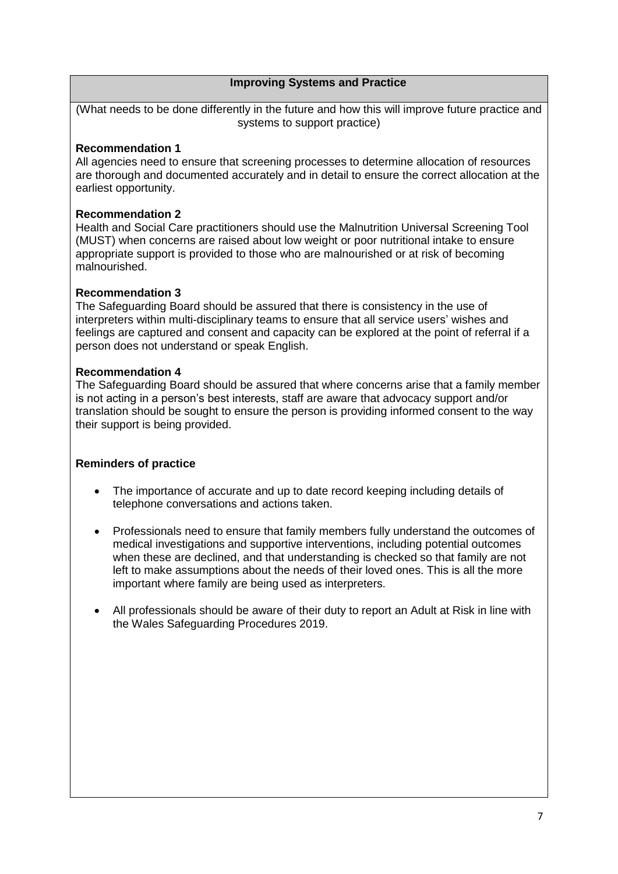# **Improving Systems and Practice**

(What needs to be done differently in the future and how this will improve future practice and systems to support practice)

#### **Recommendation 1**

All agencies need to ensure that screening processes to determine allocation of resources are thorough and documented accurately and in detail to ensure the correct allocation at the earliest opportunity.

#### **Recommendation 2**

Health and Social Care practitioners should use the Malnutrition Universal Screening Tool (MUST) when concerns are raised about low weight or poor nutritional intake to ensure appropriate support is provided to those who are malnourished or at risk of becoming malnourished.

# **Recommendation 3**

The Safeguarding Board should be assured that there is consistency in the use of interpreters within multi-disciplinary teams to ensure that all service users' wishes and feelings are captured and consent and capacity can be explored at the point of referral if a person does not understand or speak English.

# **Recommendation 4**

The Safeguarding Board should be assured that where concerns arise that a family member is not acting in a person's best interests, staff are aware that advocacy support and/or translation should be sought to ensure the person is providing informed consent to the way their support is being provided.

# **Reminders of practice**

- The importance of accurate and up to date record keeping including details of telephone conversations and actions taken.
- Professionals need to ensure that family members fully understand the outcomes of medical investigations and supportive interventions, including potential outcomes when these are declined, and that understanding is checked so that family are not left to make assumptions about the needs of their loved ones. This is all the more important where family are being used as interpreters.
- All professionals should be aware of their duty to report an Adult at Risk in line with the Wales Safeguarding Procedures 2019.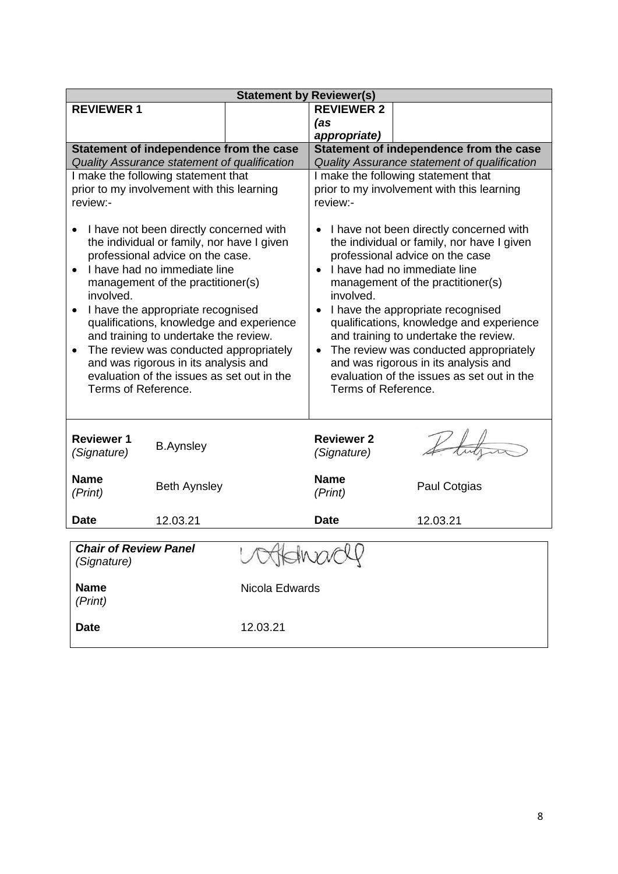| <b>Statement by Reviewer(s)</b>                                                                                                                                                                                                                                                                                                                                                                                                                                                                                        |                     |                |                                                                                                                                                                                                                                                                                                                                                                                                                                                                                                                       |              |  |  |  |  |
|------------------------------------------------------------------------------------------------------------------------------------------------------------------------------------------------------------------------------------------------------------------------------------------------------------------------------------------------------------------------------------------------------------------------------------------------------------------------------------------------------------------------|---------------------|----------------|-----------------------------------------------------------------------------------------------------------------------------------------------------------------------------------------------------------------------------------------------------------------------------------------------------------------------------------------------------------------------------------------------------------------------------------------------------------------------------------------------------------------------|--------------|--|--|--|--|
| <b>REVIEWER 1</b>                                                                                                                                                                                                                                                                                                                                                                                                                                                                                                      |                     |                | <b>REVIEWER 2</b>                                                                                                                                                                                                                                                                                                                                                                                                                                                                                                     |              |  |  |  |  |
|                                                                                                                                                                                                                                                                                                                                                                                                                                                                                                                        |                     |                | (as                                                                                                                                                                                                                                                                                                                                                                                                                                                                                                                   |              |  |  |  |  |
|                                                                                                                                                                                                                                                                                                                                                                                                                                                                                                                        |                     |                | appropriate)                                                                                                                                                                                                                                                                                                                                                                                                                                                                                                          |              |  |  |  |  |
| Statement of independence from the case                                                                                                                                                                                                                                                                                                                                                                                                                                                                                |                     |                | Statement of independence from the case                                                                                                                                                                                                                                                                                                                                                                                                                                                                               |              |  |  |  |  |
| Quality Assurance statement of qualification<br>I make the following statement that                                                                                                                                                                                                                                                                                                                                                                                                                                    |                     |                | Quality Assurance statement of qualification                                                                                                                                                                                                                                                                                                                                                                                                                                                                          |              |  |  |  |  |
| prior to my involvement with this learning                                                                                                                                                                                                                                                                                                                                                                                                                                                                             |                     |                | I make the following statement that<br>prior to my involvement with this learning                                                                                                                                                                                                                                                                                                                                                                                                                                     |              |  |  |  |  |
| review:-                                                                                                                                                                                                                                                                                                                                                                                                                                                                                                               |                     |                | review:-                                                                                                                                                                                                                                                                                                                                                                                                                                                                                                              |              |  |  |  |  |
|                                                                                                                                                                                                                                                                                                                                                                                                                                                                                                                        |                     |                |                                                                                                                                                                                                                                                                                                                                                                                                                                                                                                                       |              |  |  |  |  |
| I have not been directly concerned with<br>the individual or family, nor have I given<br>professional advice on the case.<br>I have had no immediate line<br>$\bullet$<br>management of the practitioner(s)<br>involved.<br>I have the appropriate recognised<br>qualifications, knowledge and experience<br>and training to undertake the review.<br>The review was conducted appropriately<br>$\bullet$<br>and was rigorous in its analysis and<br>evaluation of the issues as set out in the<br>Terms of Reference. |                     |                | I have not been directly concerned with<br>the individual or family, nor have I given<br>professional advice on the case<br>I have had no immediate line<br>$\bullet$<br>management of the practitioner(s)<br>involved.<br>I have the appropriate recognised<br>qualifications, knowledge and experience<br>and training to undertake the review.<br>The review was conducted appropriately<br>$\bullet$<br>and was rigorous in its analysis and<br>evaluation of the issues as set out in the<br>Terms of Reference. |              |  |  |  |  |
| <b>Reviewer 1</b><br>(Signature)                                                                                                                                                                                                                                                                                                                                                                                                                                                                                       | <b>B.Aynsley</b>    |                | <b>Reviewer 2</b><br>(Signature)                                                                                                                                                                                                                                                                                                                                                                                                                                                                                      |              |  |  |  |  |
| <b>Name</b><br>(Print)                                                                                                                                                                                                                                                                                                                                                                                                                                                                                                 | <b>Beth Aynsley</b> |                |                                                                                                                                                                                                                                                                                                                                                                                                                                                                                                                       | Paul Cotgias |  |  |  |  |
| <b>Date</b>                                                                                                                                                                                                                                                                                                                                                                                                                                                                                                            | 12.03.21            |                | <b>Date</b>                                                                                                                                                                                                                                                                                                                                                                                                                                                                                                           | 12.03.21     |  |  |  |  |
| <b>Chair of Review Panel</b>                                                                                                                                                                                                                                                                                                                                                                                                                                                                                           |                     |                |                                                                                                                                                                                                                                                                                                                                                                                                                                                                                                                       |              |  |  |  |  |
| voordwacle<br>(Signature)                                                                                                                                                                                                                                                                                                                                                                                                                                                                                              |                     |                |                                                                                                                                                                                                                                                                                                                                                                                                                                                                                                                       |              |  |  |  |  |
| <b>Name</b><br>(Print)                                                                                                                                                                                                                                                                                                                                                                                                                                                                                                 |                     | Nicola Edwards |                                                                                                                                                                                                                                                                                                                                                                                                                                                                                                                       |              |  |  |  |  |
| <b>Date</b>                                                                                                                                                                                                                                                                                                                                                                                                                                                                                                            |                     | 12.03.21       |                                                                                                                                                                                                                                                                                                                                                                                                                                                                                                                       |              |  |  |  |  |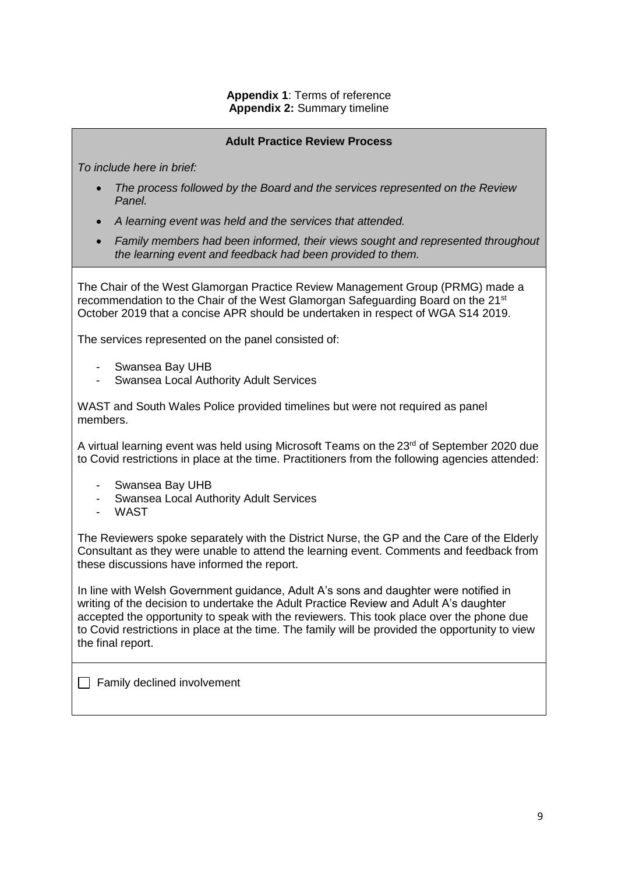# **Appendix 1**: Terms of reference **Appendix 2:** Summary timeline

#### **Adult Practice Review Process**

*To include here in brief:*

- *The process followed by the Board and the services represented on the Review Panel.*
- *A learning event was held and the services that attended.*
- *Family members had been informed, their views sought and represented throughout the learning event and feedback had been provided to them.*

The Chair of the West Glamorgan Practice Review Management Group (PRMG) made a recommendation to the Chair of the West Glamorgan Safeguarding Board on the 21<sup>st</sup> October 2019 that a concise APR should be undertaken in respect of WGA S14 2019.

The services represented on the panel consisted of:

- Swansea Bay UHB
- Swansea Local Authority Adult Services

WAST and South Wales Police provided timelines but were not required as panel members.

A virtual learning event was held using Microsoft Teams on the 23<sup>rd</sup> of September 2020 due to Covid restrictions in place at the time. Practitioners from the following agencies attended:

- Swansea Bay UHB
- Swansea Local Authority Adult Services
- WAST

The Reviewers spoke separately with the District Nurse, the GP and the Care of the Elderly Consultant as they were unable to attend the learning event. Comments and feedback from these discussions have informed the report.

In line with Welsh Government guidance, Adult A's sons and daughter were notified in writing of the decision to undertake the Adult Practice Review and Adult A's daughter accepted the opportunity to speak with the reviewers. This took place over the phone due to Covid restrictions in place at the time. The family will be provided the opportunity to view the final report.

 $\Box$  Family declined involvement